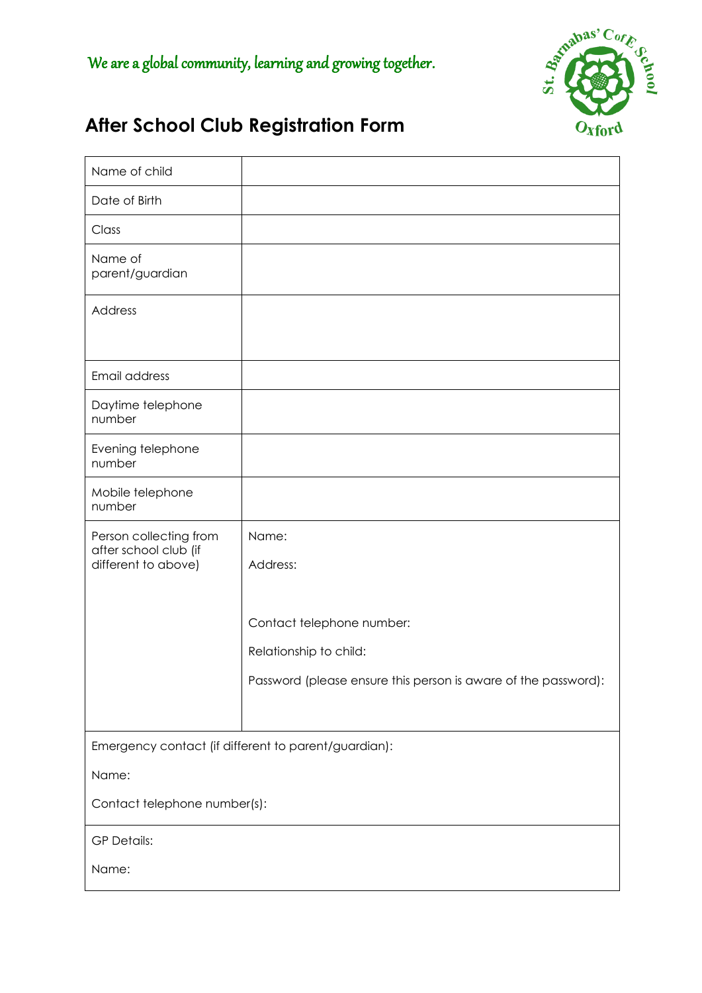

# **After School Club Registration Form**

| Name of child                                                          |                                                                |
|------------------------------------------------------------------------|----------------------------------------------------------------|
| Date of Birth                                                          |                                                                |
| Class                                                                  |                                                                |
| Name of<br>parent/guardian                                             |                                                                |
| Address                                                                |                                                                |
| Email address                                                          |                                                                |
| Daytime telephone<br>number                                            |                                                                |
| Evening telephone<br>number                                            |                                                                |
| Mobile telephone<br>number                                             |                                                                |
| Person collecting from<br>after school club (if<br>different to above) | Name:<br>Address:                                              |
|                                                                        | Contact telephone number:                                      |
|                                                                        | Relationship to child:                                         |
|                                                                        | Password (please ensure this person is aware of the password): |
|                                                                        |                                                                |
|                                                                        | Emergency contact (if different to parent/guardian):           |
| Name:                                                                  |                                                                |
| Contact telephone number(s):                                           |                                                                |
| <b>GP Details:</b>                                                     |                                                                |
| Name:                                                                  |                                                                |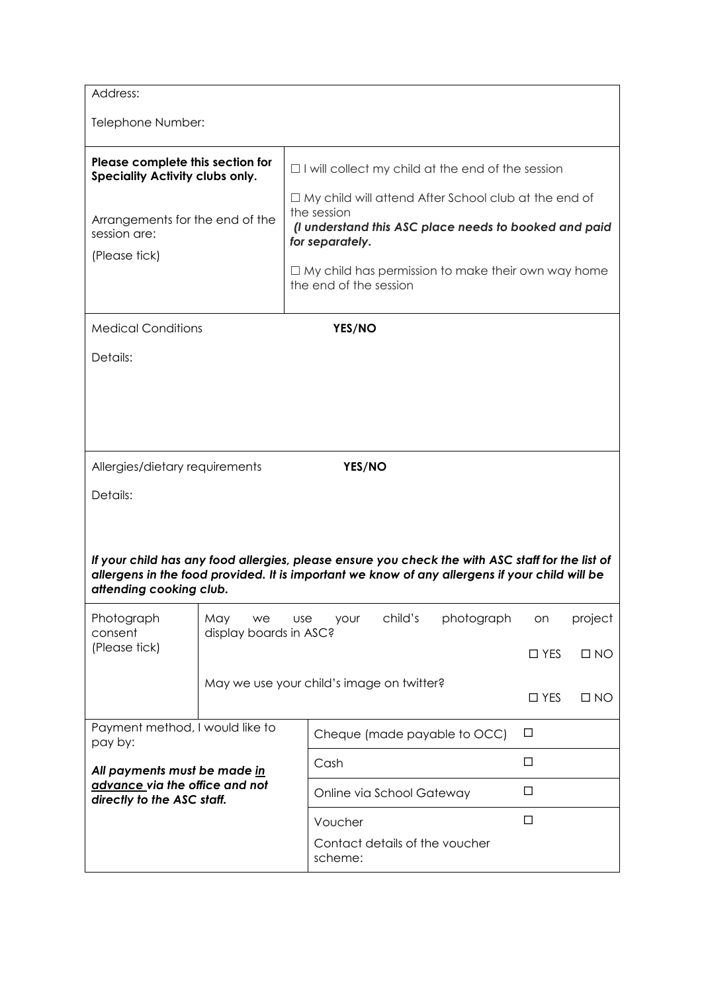| Address:<br>Telephone Number:                                                                                                              |                                     |                                                                                                                                                                                                                                                                                                           |                                                                           |  |  |  |
|--------------------------------------------------------------------------------------------------------------------------------------------|-------------------------------------|-----------------------------------------------------------------------------------------------------------------------------------------------------------------------------------------------------------------------------------------------------------------------------------------------------------|---------------------------------------------------------------------------|--|--|--|
| Please complete this section for<br>Speciality Activity clubs only.<br>Arrangements for the end of the<br>session are:<br>(Please tick)    |                                     | $\Box$ I will collect my child at the end of the session<br>$\Box$ My child will attend After School club at the end of<br>the session<br>(I understand this ASC place needs to booked and paid<br>for separately.<br>$\Box$ My child has permission to make their own way home<br>the end of the session |                                                                           |  |  |  |
| <b>Medical Conditions</b><br>Details:                                                                                                      |                                     | YES/NO                                                                                                                                                                                                                                                                                                    |                                                                           |  |  |  |
| Allergies/dietary requirements<br>Details:<br>attending cooking club.                                                                      |                                     | YES/NO<br>If your child has any food allergies, please ensure you check the with ASC staff for the list of<br>allergens in the food provided. It is important we know of any allergens if your child will be                                                                                              |                                                                           |  |  |  |
| Photograph<br>consent<br>(Please tick)                                                                                                     | May<br>we<br>display boards in ASC? | child's<br>photograph<br><b>use</b><br>your<br>May we use your child's image on twitter?                                                                                                                                                                                                                  | project<br>on<br>$\square$ YES<br>$\Box$ NO<br>$\square$ YES<br>$\Box$ NO |  |  |  |
| Payment method, I would like to<br>pay by:<br>All payments must be made in<br>advance via the office and not<br>directly to the ASC staff. |                                     | Cheque (made payable to OCC)<br>Cash<br>Online via School Gateway<br>Voucher<br>Contact details of the voucher<br>scheme:                                                                                                                                                                                 | □<br>□<br>□<br>□                                                          |  |  |  |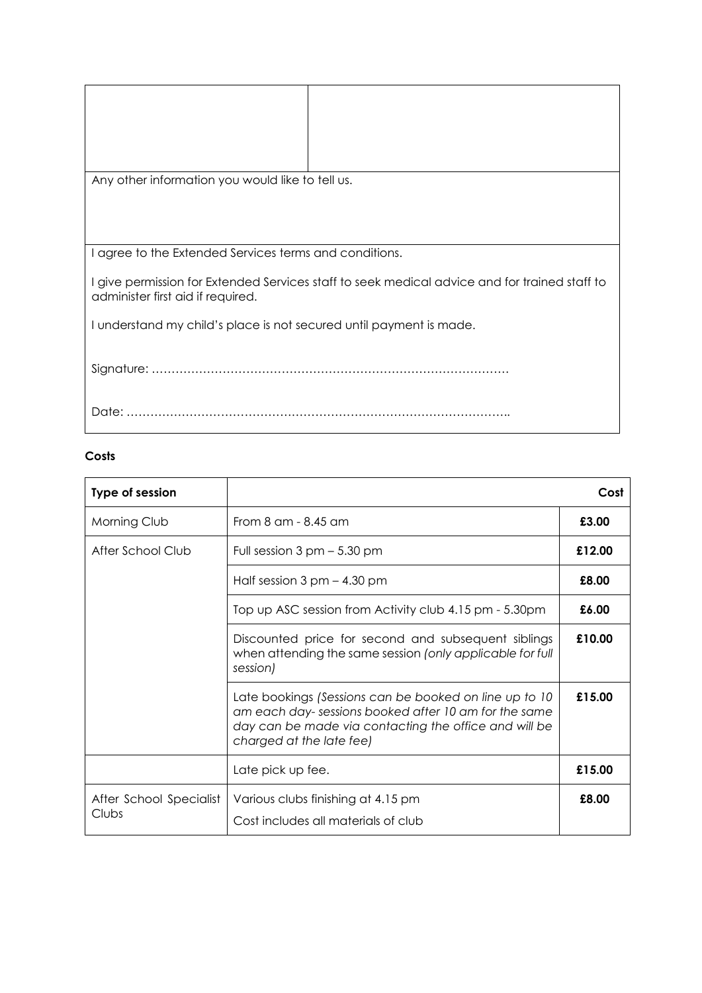| Any other information you would like to tell us.                                                                                   |
|------------------------------------------------------------------------------------------------------------------------------------|
|                                                                                                                                    |
|                                                                                                                                    |
|                                                                                                                                    |
| I agree to the Extended Services terms and conditions.                                                                             |
| I give permission for Extended Services staff to seek medical advice and for trained staff to<br>administer first aid if required. |
| I understand my child's place is not secured until payment is made.                                                                |
|                                                                                                                                    |
| Date:                                                                                                                              |

# **Costs**

| Type of session                  |                                                                                                                                                                                                     | Cost   |
|----------------------------------|-----------------------------------------------------------------------------------------------------------------------------------------------------------------------------------------------------|--------|
| Morning Club                     | From 8 am - 8.45 am                                                                                                                                                                                 | £3.00  |
| After School Club                | Full session $3$ pm $-$ 5.30 pm                                                                                                                                                                     | £12.00 |
|                                  | Half session $3$ pm $-$ 4.30 pm                                                                                                                                                                     | £8.00  |
|                                  | Top up ASC session from Activity club 4.15 pm - 5.30pm                                                                                                                                              | £6.00  |
|                                  | Discounted price for second and subsequent siblings<br>when attending the same session (only applicable for full<br>session)                                                                        | £10.00 |
|                                  | Late bookings (Sessions can be booked on line up to 10<br>am each day-sessions booked after 10 am for the same<br>day can be made via contacting the office and will be<br>charged at the late fee) | £15.00 |
|                                  | Late pick up fee.                                                                                                                                                                                   | £15.00 |
| After School Specialist<br>Clubs | Various clubs finishing at 4.15 pm<br>Cost includes all materials of club                                                                                                                           | £8.00  |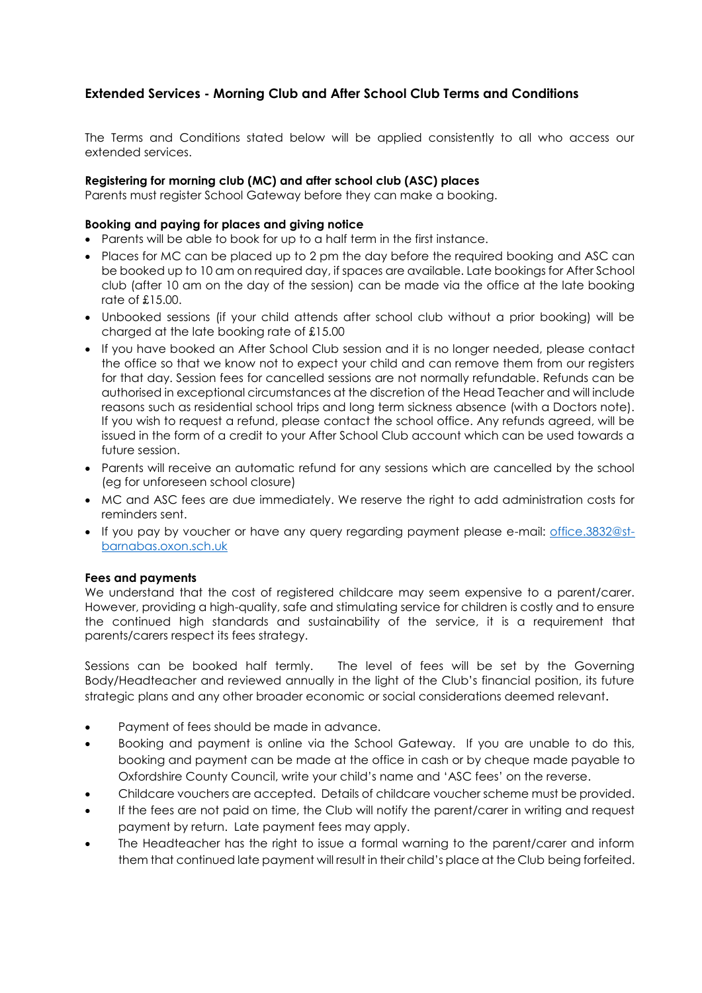# **Extended Services - Morning Club and After School Club Terms and Conditions**

The Terms and Conditions stated below will be applied consistently to all who access our extended services.

## **Registering for morning club (MC) and after school club (ASC) places**

Parents must register School Gateway before they can make a booking.

## **Booking and paying for places and giving notice**

- Parents will be able to book for up to a half term in the first instance.
- Places for MC can be placed up to 2 pm the day before the required booking and ASC can be booked up to 10 am on required day, if spaces are available. Late bookings for After School club (after 10 am on the day of the session) can be made via the office at the late booking rate of £15.00.
- Unbooked sessions (if your child attends after school club without a prior booking) will be charged at the late booking rate of £15.00
- If you have booked an After School Club session and it is no longer needed, please contact the office so that we know not to expect your child and can remove them from our registers for that day. Session fees for cancelled sessions are not normally refundable. Refunds can be authorised in exceptional circumstances at the discretion of the Head Teacher and will include reasons such as residential school trips and long term sickness absence (with a Doctors note). If you wish to request a refund, please contact the school office. Any refunds agreed, will be issued in the form of a credit to your After School Club account which can be used towards a future session.
- Parents will receive an automatic refund for any sessions which are cancelled by the school (eg for unforeseen school closure)
- MC and ASC fees are due immediately. We reserve the right to add administration costs for reminders sent.
- If you pay by voucher or have any query regarding payment please e-mail: [office.3832@st](mailto:office.3832@st-barnabas.oxon.sch.uk)[barnabas.oxon.sch.uk](mailto:office.3832@st-barnabas.oxon.sch.uk)

### **Fees and payments**

We understand that the cost of registered childcare may seem expensive to a parent/carer. However, providing a high-quality, safe and stimulating service for children is costly and to ensure the continued high standards and sustainability of the service, it is a requirement that parents/carers respect its fees strategy.

Sessions can be booked half termly. The level of fees will be set by the Governing Body/Headteacher and reviewed annually in the light of the Club's financial position, its future strategic plans and any other broader economic or social considerations deemed relevant.

- Payment of fees should be made in advance.
- Booking and payment is online via the School Gateway. If you are unable to do this, booking and payment can be made at the office in cash or by cheque made payable to Oxfordshire County Council, write your child's name and 'ASC fees' on the reverse.
- Childcare vouchers are accepted. Details of childcare voucher scheme must be provided.
- If the fees are not paid on time, the Club will notify the parent/carer in writing and request payment by return. Late payment fees may apply.
- The Headteacher has the right to issue a formal warning to the parent/carer and inform them that continued late payment will result in their child's place at the Club being forfeited.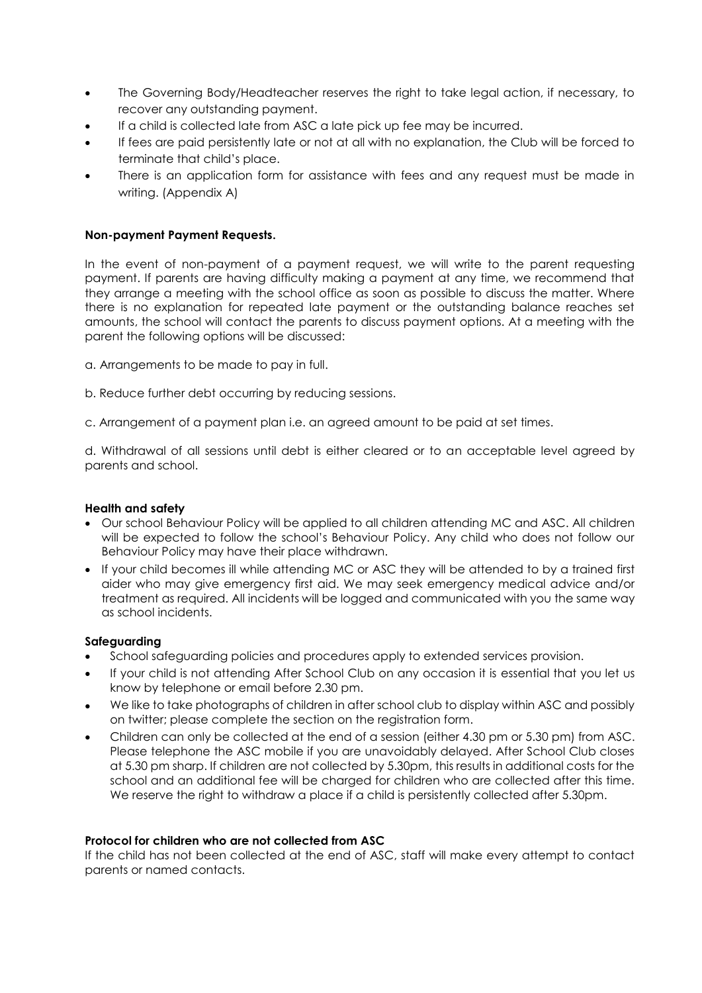- The Governing Body/Headteacher reserves the right to take legal action, if necessary, to recover any outstanding payment.
- If a child is collected late from ASC a late pick up fee may be incurred.
- If fees are paid persistently late or not at all with no explanation, the Club will be forced to terminate that child's place.
- There is an application form for assistance with fees and any request must be made in writing. (Appendix A)

## **Non-payment Payment Requests.**

In the event of non-payment of a payment request, we will write to the parent requesting payment. If parents are having difficulty making a payment at any time, we recommend that they arrange a meeting with the school office as soon as possible to discuss the matter. Where there is no explanation for repeated late payment or the outstanding balance reaches set amounts, the school will contact the parents to discuss payment options. At a meeting with the parent the following options will be discussed:

a. Arrangements to be made to pay in full.

b. Reduce further debt occurring by reducing sessions.

c. Arrangement of a payment plan i.e. an agreed amount to be paid at set times.

d. Withdrawal of all sessions until debt is either cleared or to an acceptable level agreed by parents and school.

### **Health and safety**

- Our school Behaviour Policy will be applied to all children attending MC and ASC. All children will be expected to follow the school's Behaviour Policy. Any child who does not follow our Behaviour Policy may have their place withdrawn.
- If your child becomes ill while attending MC or ASC they will be attended to by a trained first aider who may give emergency first aid. We may seek emergency medical advice and/or treatment as required. All incidents will be logged and communicated with you the same way as school incidents.

### **Safeguarding**

- School safeguarding policies and procedures apply to extended services provision.
- If your child is not attending After School Club on any occasion it is essential that you let us know by telephone or email before 2.30 pm.
- We like to take photographs of children in after school club to display within ASC and possibly on twitter; please complete the section on the registration form.
- Children can only be collected at the end of a session (either 4.30 pm or 5.30 pm) from ASC. Please telephone the ASC mobile if you are unavoidably delayed. After School Club closes at 5.30 pm sharp. If children are not collected by 5.30pm, this results in additional costs for the school and an additional fee will be charged for children who are collected after this time. We reserve the right to withdraw a place if a child is persistently collected after 5.30pm.

### **Protocol for children who are not collected from ASC**

If the child has not been collected at the end of ASC, staff will make every attempt to contact parents or named contacts.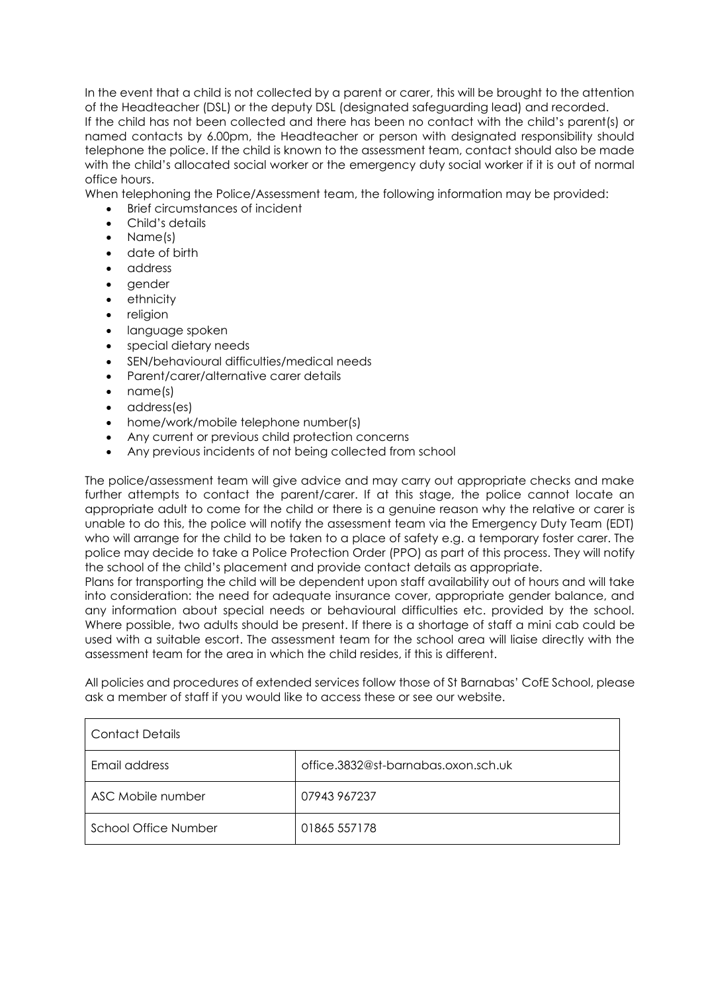In the event that a child is not collected by a parent or carer, this will be brought to the attention of the Headteacher (DSL) or the deputy DSL (designated safeguarding lead) and recorded.

If the child has not been collected and there has been no contact with the child's parent(s) or named contacts by 6.00pm, the Headteacher or person with designated responsibility should telephone the police. If the child is known to the assessment team, contact should also be made with the child's allocated social worker or the emergency duty social worker if it is out of normal office hours.

When telephoning the Police/Assessment team, the following information may be provided:

- Brief circumstances of incident
- Child's details
- Name(s)
- date of birth
- address
- gender
- ethnicity
- religion
- language spoken
- special dietary needs
- SEN/behavioural difficulties/medical needs
- Parent/carer/alternative carer details
- name(s)
- address(es)
- home/work/mobile telephone number(s)
- Any current or previous child protection concerns
- Any previous incidents of not being collected from school

The police/assessment team will give advice and may carry out appropriate checks and make further attempts to contact the parent/carer. If at this stage, the police cannot locate an appropriate adult to come for the child or there is a genuine reason why the relative or carer is unable to do this, the police will notify the assessment team via the Emergency Duty Team (EDT) who will arrange for the child to be taken to a place of safety e.g. a temporary foster carer. The police may decide to take a Police Protection Order (PPO) as part of this process. They will notify the school of the child's placement and provide contact details as appropriate.

Plans for transporting the child will be dependent upon staff availability out of hours and will take into consideration: the need for adequate insurance cover, appropriate gender balance, and any information about special needs or behavioural difficulties etc. provided by the school. Where possible, two adults should be present. If there is a shortage of staff a mini cab could be used with a suitable escort. The assessment team for the school area will liaise directly with the assessment team for the area in which the child resides, if this is different.

All policies and procedures of extended services follow those of St Barnabas' CofE School, please ask a member of staff if you would like to access these or see our website.

| <b>Contact Details</b> |                                     |  |  |  |  |
|------------------------|-------------------------------------|--|--|--|--|
| Email address          | office.3832@st-barnabas.oxon.sch.uk |  |  |  |  |
| ASC Mobile number      | 07943 967237                        |  |  |  |  |
| School Office Number   | 01865 557178                        |  |  |  |  |